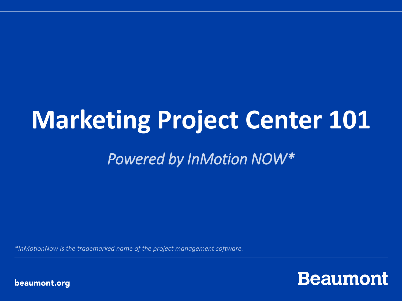## **Marketing Project Center 101**

### *Powered by InMotion NOW\**

*\*InMotionNow is the trademarked name of the project management software.*

**Beaumont** 

beaumont.org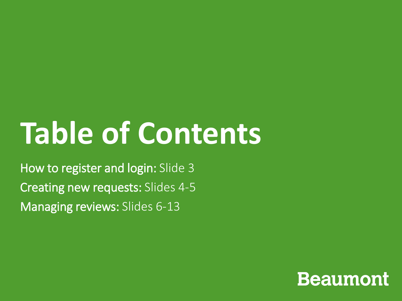# **Table of Contents**

How to register and login: Slide 3 Creating new requests: Slides 4-5 Managing reviews: Slides 6-13

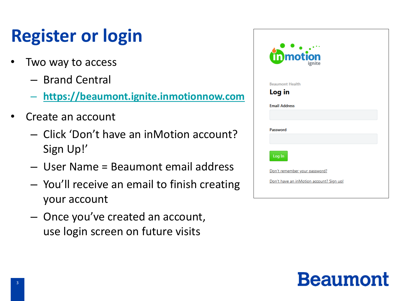### **Register or login**

- Two way to access
	- Brand Central
	- **[https://beaumont.ignite.inmotionnow.com](https://beaumont.ignite.inmotionnow.com/)**
- Create an account
	- Click 'Don't have an inMotion account? Sign Up!'
	- User Name = Beaumont email address
	- You'll receive an email to finish creating your account
	- Once you've created an account, use login screen on future visits

| tipmotion<br>ignite                      |  |
|------------------------------------------|--|
| <b>Beaumont Health</b>                   |  |
| Log in                                   |  |
| <b>Email Address</b>                     |  |
|                                          |  |
| Password                                 |  |
|                                          |  |
| Log In                                   |  |
| Don't remember your password?            |  |
| Don't have an inMotion account? Sign up! |  |
|                                          |  |

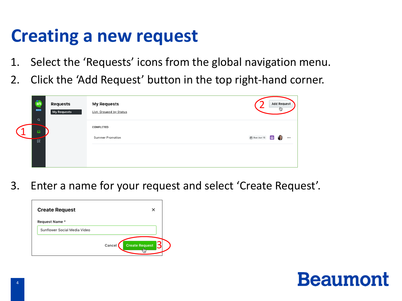### **Creating a new request**

- 1. Select the 'Requests' icons from the global navigation menu.
- 2. Click the 'Add Request' button in the top right-hand corner.

| fin<br><b>BETA</b><br>$\alpha$ | <b>Requests</b><br>My Requests | <b>My Requests</b><br><b>List, Grouped by Status</b> |              | <b>Add Request</b> | ٣ij |  |
|--------------------------------|--------------------------------|------------------------------------------------------|--------------|--------------------|-----|--|
| $\boldsymbol{\omega}$<br>্রি   |                                | COMPLETED<br>Summer Promotion                        | 自 Due Jun 15 | $\Box$             |     |  |
|                                |                                |                                                      |              |                    |     |  |

3. Enter a name for your request and select 'Create Request'.

| <b>Create Request</b>        |                                 |
|------------------------------|---------------------------------|
| Request Name *               |                                 |
| Sunflower Social Media Video |                                 |
|                              | <b>Create Request</b><br>Cancel |

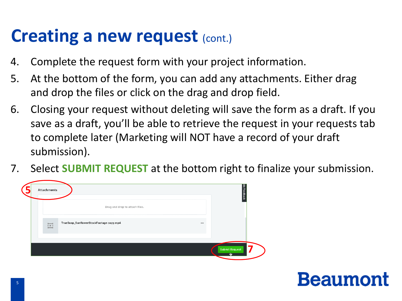### **Creating a new request (cont.)**

- 4. Complete the request form with your project information.
- 5. At the bottom of the form, you can add any attachments. Either drag and drop the files or click on the drag and drop field.
- 6. Closing your request without deleting will save the form as a draft. If you save as a draft, you'll be able to retrieve the request in your requests tab to complete later (Marketing will NOT have a record of your draft submission).
- 7. Select **SUBMIT REQUEST** at the bottom right to finalize your submission.

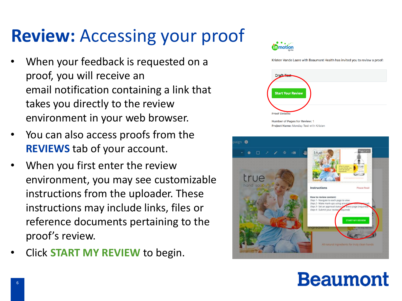### **Review:** Accessing your proof

- When your feedback is requested on a proof, you will receive an email notification containing a link that takes you directly to the review environment in your web browser.
- You can also access proofs from the **REVIEWS** tab of your account.
- When you first enter the review environment, you may see customizable instructions from the uploader. These instructions may include links, files or reference documents pertaining to the proof's review.
- Click **START MY REVIEW** to begin.



Kristen Vande Laare with Beaumont Health has invited you to review a proof:



Project Name: Monday Test with Kristen

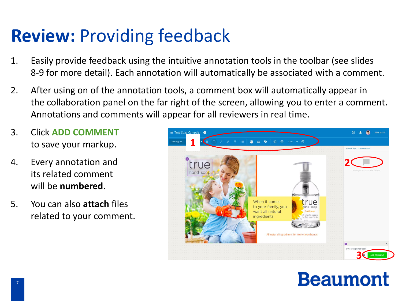### **Review:** Providing feedback

- 1. Easily provide feedback using the intuitive annotation tools in the toolbar (see slides 8-9 for more detail). Each annotation will automatically be associated with a comment.
- 2. After using on of the annotation tools, a comment box will automatically appear in the collaboration panel on the far right of the screen, allowing you to enter a comment. Annotations and comments will appear for all reviewers in real time.
- 3. Click **ADD COMMENT**  to save your markup.
- 4. Every annotation and its related comment will be **numbered**.
- 5. You can also **attach** files related to your comment.

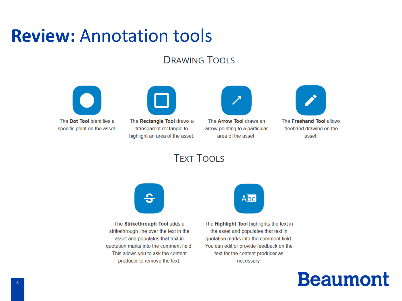### **Review: Annotation tools**

#### **DRAWING TOOLS**





The Rectangle Tool draws a transparent rectangle to highlight an area of the asset.



The **Arrow Tool** draws an arrow pointing to a particular area of the asset.



The Freehand Tool allows freehand drawing on the asset.

#### **TEXT TOOLS**



The Strikethrough Tool adds a strikethrough line over the text in the asset and populates that text in quotation marks into the comment field. This allows you to ask the content producer to remove the text.



The Highlight Tool highlights the text in the asset and populates that text in quotation marks into the comment field. You can edit or provide feedback on the text for the content producer as necessary.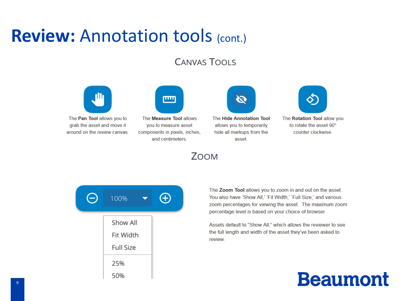### **Review: Annotation tools (cont.)**

#### **CANVAS TOOLS**

ZOOM



The Pan Tool allows you to grab the asset and move it around on the review canvas.

| யய |
|----|
|    |

The **Measure Tool** allows you to measure asset components in pixels, inches, and centimeters.

The Hide Annotation Tool allows you to temporarily hide all markups from the asset.



The Rotation Tool allow you to rotate the asset 90° counter clockwise.

| 100%                                      | Ð |
|-------------------------------------------|---|
| Show All<br>Fit Width<br><b>Full Size</b> |   |
| 25%<br>50%                                |   |

The Zoom Tool allows you to zoom in and out on the asset. You also have 'Show All,' 'Fit Width,' 'Full Size,' and various zoom percentages for viewing the asset. The maximum zoom percentage level is based on your choice of browser.

Assets default to "Show All," which allows the reviewer to see the full length and width of the asset they've been asked to review.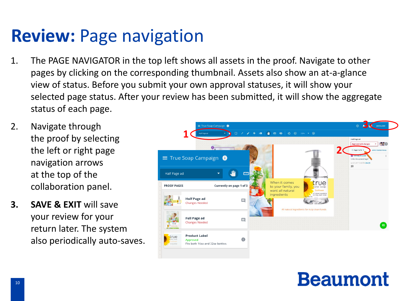### **Review:** Page navigation

- 1. The PAGE NAVIGATOR in the top left shows all assets in the proof. Navigate to other pages by clicking on the corresponding thumbnail. Assets also show an at-a-glance view of status. Before you submit your own approval statuses, it will show your selected page status. After your review has been submitted, it will show the aggregate status of each page.
- 2. Navigate through the proof by selecting the left or right page navigation arrows at the top of the collaboration panel.
- **3. SAVE & EXIT** will save your review for your return later. The system also periodically auto-saves.

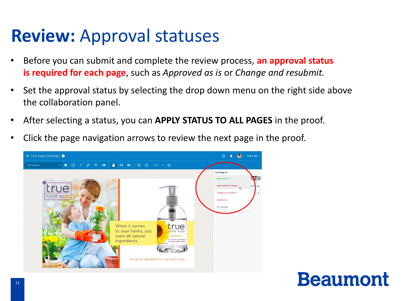### **Review:** Approval statuses

- Before you can submit and complete the review process, **an approval status is required for each page**, such as *Approved as is* or *Change and resubmit.*
- Set the approval status by selecting the drop down menu on the right side above the collaboration panel.
- After selecting a status, you can **APPLY STATUS TO ALL PAGES** in the proof.
- Click the page navigation arrows to review the next page in the proof.

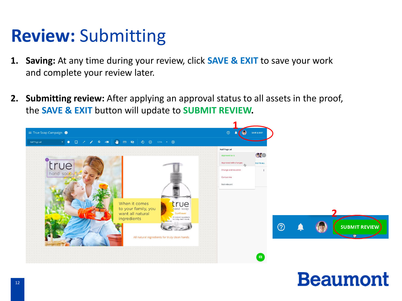### **Review:** Submitting

- **1. Saving:** At any time during your review, click **SAVE & EXIT** to save your work and complete your review later.
- **2. Submitting review:** After applying an approval status to all assets in the proof, the **SAVE & EXIT** button will update to **SUBMIT REVIEW.**